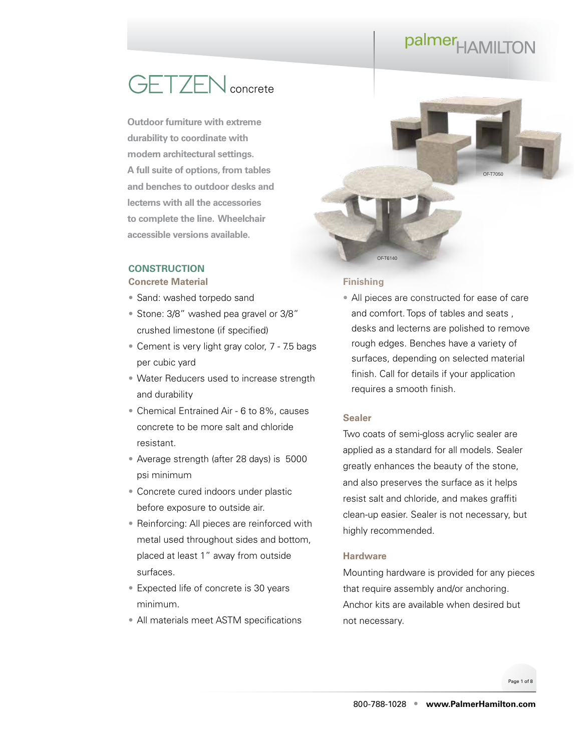### **GETZEN** concrete

**Outdoor furniture with extreme durability to coordinate with modern architectural settings. A full suite of options, from tables and benches to outdoor desks and lecterns with all the accessories to complete the line. Wheelchair accessible versions available.**

### **CONSTRUCTION**

### **Concrete Material**

- Sand: washed torpedo sand
- Stone: 3/8" washed pea gravel or 3/8" crushed limestone (if specified)
- Cement is very light gray color, 7 7.5 bags per cubic yard
- Water Reducers used to increase strength and durability
- Chemical Entrained Air 6 to 8%, causes concrete to be more salt and chloride resistant.
- Average strength (after 28 days) is 5000 psi minimum
- Concrete cured indoors under plastic before exposure to outside air.
- Reinforcing: All pieces are reinforced with metal used throughout sides and bottom, placed at least 1" away from outside surfaces.
- Expected life of concrete is 30 years minimum.
- All materials meet ASTM specifications



### **Finishing**

• All pieces are constructed for ease of care and comfort. Tops of tables and seats , desks and lecterns are polished to remove rough edges. Benches have a variety of surfaces, depending on selected material finish. Call for details if your application requires a smooth finish.

### **Sealer**

Two coats of semi-gloss acrylic sealer are applied as a standard for all models. Sealer greatly enhances the beauty of the stone, and also preserves the surface as it helps resist salt and chloride, and makes graffiti clean-up easier. Sealer is not necessary, but highly recommended.

#### **Hardware**

Mounting hardware is provided for any pieces that require assembly and/or anchoring. Anchor kits are available when desired but not necessary.

Page 1 of 8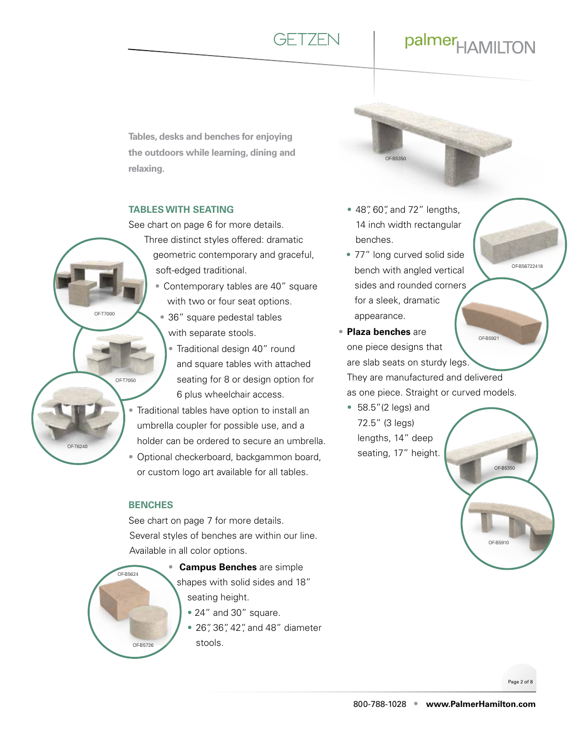**GFT7FN** 

### palmer<sub>HAMILTON</sub>

**Tables, desks and benches for enjoying the outdoors while learning, dining and relaxing.**

### **TABLES WITH SEATING**

See chart on page 6 for more details.

- Three distinct styles offered: dramatic geometric contemporary and graceful, soft-edged traditional.
	- Contemporary tables are 40" square with two or four seat options.
		- 36" square pedestal tables with separate stools.
			- Traditional design 40" round and square tables with attached seating for 8 or design option for 6 plus wheelchair access.
- Traditional tables have option to install an umbrella coupler for possible use, and a holder can be ordered to secure an umbrella.
- Optional checkerboard, backgammon board, or custom logo art available for all tables.

#### **BENCHES**

OF-T7000

OF-T7050

OF-T6240

See chart on page 7 for more details. Several styles of benches are within our line. Available in all color options.

- $OER5624$ OF-B5726
	- **Campus Benches** are simple shapes with solid sides and 18" seating height.
		- 24" and 30" square.
		- 26", 36", 42", and 48" diameter stools.



- 48", 60", and 72" lengths, 14 inch width rectangular benches.
- 77" long curved solid side bench with angled vertical sides and rounded corners for a sleek, dramatic appearance.
- **Plaza benches** are one piece designs that are slab seats on sturdy legs. They are manufactured and delivered as one piece. Straight or curved models. OF-B5921
	- 58.5"(2 legs) and 72.5" (3 legs) lengths, 14" deep seating, 17" height.



OF-B56722418

Page 2 of 8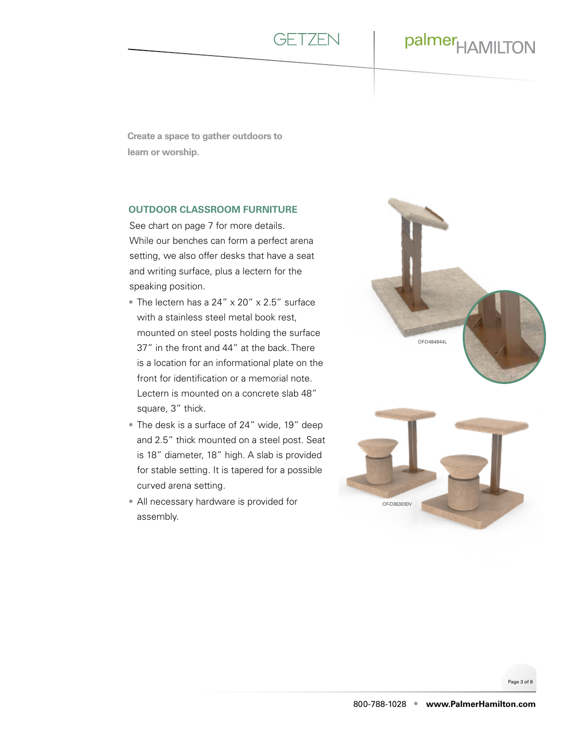![](_page_2_Picture_0.jpeg)

**Create a space to gather outdoors to learn or worship.** 

### **OUTDOOR CLASSROOM FURNITURE**

See chart on page 7 for more details. While our benches can form a perfect arena setting, we also offer desks that have a seat and writing surface, plus a lectern for the speaking position.

- The lectern has a 24" x 20" x 2.5" surface with a stainless steel metal book rest, mounted on steel posts holding the surface 37" in the front and 44" at the back. There is a location for an informational plate on the front for identification or a memorial note. Lectern is mounted on a concrete slab 48" square, 3" thick.
- The desk is a surface of 24" wide, 19" deep and 2.5" thick mounted on a steel post. Seat is 18" diameter, 18" high. A slab is provided for stable setting. It is tapered for a possible curved arena setting.
- All necessary hardware is provided for assembly.

![](_page_2_Picture_8.jpeg)

Page 3 of 8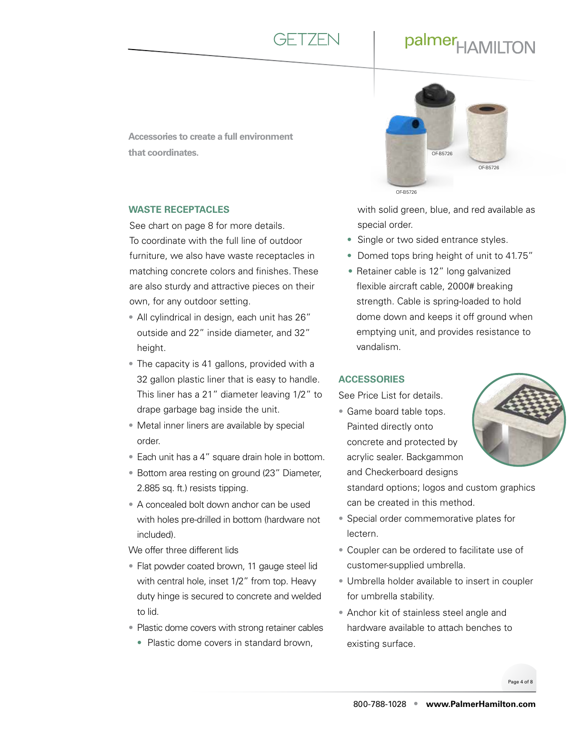![](_page_3_Picture_0.jpeg)

**Accessories to create a full environment that coordinates.**

### **WASTE RECEPTACLES**

See chart on page 8 for more details. To coordinate with the full line of outdoor furniture, we also have waste receptacles in matching concrete colors and finishes. These are also sturdy and attractive pieces on their own, for any outdoor setting.

- All cylindrical in design, each unit has 26" outside and 22" inside diameter, and 32" height.
- The capacity is 41 gallons, provided with a 32 gallon plastic liner that is easy to handle. This liner has a 21" diameter leaving 1/2" to drape garbage bag inside the unit.
- Metal inner liners are available by special order.
- Each unit has a 4" square drain hole in bottom.
- Bottom area resting on ground (23" Diameter, 2.885 sq. ft.) resists tipping.
- A concealed bolt down anchor can be used with holes pre-drilled in bottom (hardware not included).

We offer three different lids

- Flat powder coated brown, 11 gauge steel lid with central hole, inset 1/2" from top. Heavy duty hinge is secured to concrete and welded to lid.
- Plastic dome covers with strong retainer cables
	- Plastic dome covers in standard brown,

![](_page_3_Picture_15.jpeg)

with solid green, blue, and red available as special order.

- Single or two sided entrance styles.
- Domed tops bring height of unit to 41.75"
- Retainer cable is 12" long galvanized flexible aircraft cable, 2000# breaking strength. Cable is spring-loaded to hold dome down and keeps it off ground when emptying unit, and provides resistance to vandalism.

### **ACCESSORIES**

See Price List for details.

• Game board table tops. Painted directly onto concrete and protected by acrylic sealer. Backgammon and Checkerboard designs

![](_page_3_Picture_23.jpeg)

standard options; logos and custom graphics can be created in this method.

- Special order commemorative plates for lectern.
- Coupler can be ordered to facilitate use of customer-supplied umbrella.
- Umbrella holder available to insert in coupler for umbrella stability.
- Anchor kit of stainless steel angle and hardware available to attach benches to existing surface.

Page 4 of 8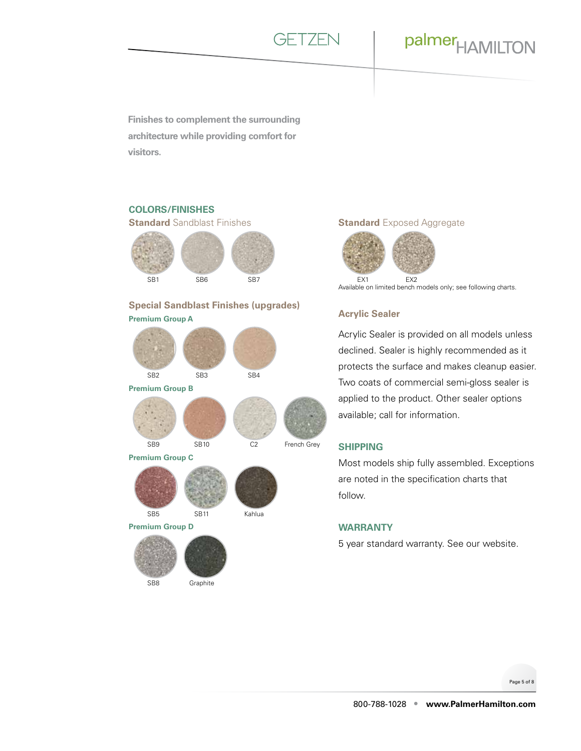![](_page_4_Picture_0.jpeg)

**Finishes to complement the surrounding architecture while providing comfort for visitors.**

### **COLORS/FINISHES**

**Standard** Sandblast Finishes

![](_page_4_Picture_5.jpeg)

**Special Sandblast Finishes (upgrades) Premium Group A**

![](_page_4_Picture_7.jpeg)

SB8 Graphite

### **Standard** Exposed Aggregate

![](_page_4_Picture_10.jpeg)

Available on limited bench models only; see following charts.

### **Acrylic Sealer**

Acrylic Sealer is provided on all models unless declined. Sealer is highly recommended as it protects the surface and makes cleanup easier. Two coats of commercial semi-gloss sealer is applied to the product. Other sealer options available; call for information.

#### **SHIPPING**

Most models ship fully assembled. Exceptions are noted in the specification charts that follow.

#### **WARRANTY**

5 year standard warranty. See our [website](https://palmerhamilton.com/resources/warranty).

Page 5 of 8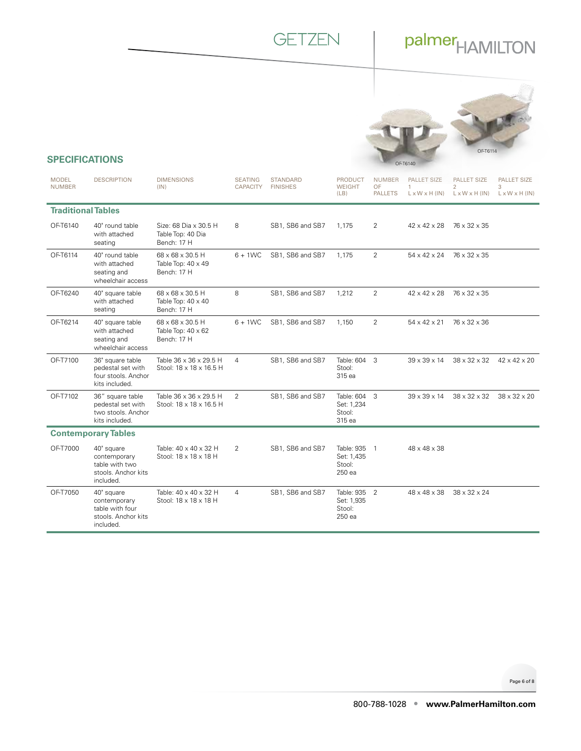### **GETZEN**

# palmer<sub>HAMILTON</sub>

![](_page_5_Picture_2.jpeg)

### **SPECIFICATIONS**

| <b>MODEL</b><br><b>NUMBER</b> | <b>DESCRIPTION</b>                                                                | <b>DIMENSIONS</b><br>(IN)                                    | <b>SEATING</b><br><b>CAPACITY</b> | <b>STANDARD</b><br><b>FINISHES</b> | <b>PRODUCT</b><br><b>WEIGHT</b><br>(LB)        | <b>NUMBER</b><br>OF<br><b>PALLETS</b> | <b>PALLET SIZE</b><br>1<br>$L \times W \times H$ (IN) | PALLET SIZE<br>$\overline{2}$<br>$L \times W \times H$ (IN) | <b>PALLET SIZE</b><br>3<br>$L \times W \times H$ (IN) |
|-------------------------------|-----------------------------------------------------------------------------------|--------------------------------------------------------------|-----------------------------------|------------------------------------|------------------------------------------------|---------------------------------------|-------------------------------------------------------|-------------------------------------------------------------|-------------------------------------------------------|
| <b>Traditional Tables</b>     |                                                                                   |                                                              |                                   |                                    |                                                |                                       |                                                       |                                                             |                                                       |
| OF-T6140                      | 40" round table<br>with attached<br>seating                                       | Size: 68 Dia x 30.5 H<br>Table Top: 40 Dia<br>Bench: 17 H    | 8                                 | SB1, SB6 and SB7                   | 1,175                                          | 2                                     | $42 \times 42 \times 28$                              | 76 x 32 x 35                                                |                                                       |
| OF-T6114                      | 40" round table<br>with attached<br>seating and<br>wheelchair access              | 68 x 68 x 30.5 H<br>Table Top: $40 \times 49$<br>Bench: 17 H | $6 + 1WC$                         | SB1, SB6 and SB7                   | 1,175                                          | $\overline{2}$                        | 54 x 42 x 24                                          | 76 x 32 x 35                                                |                                                       |
| OF-T6240                      | 40" square table<br>with attached<br>seating                                      | 68 x 68 x 30.5 H<br>Table Top: $40 \times 40$<br>Bench: 17 H | 8                                 | SB1, SB6 and SB7                   | 1,212                                          | $\overline{2}$                        | $42 \times 42 \times 28$                              | 76 x 32 x 35                                                |                                                       |
| OF-T6214                      | 40" square table<br>with attached<br>seating and<br>wheelchair access             | 68 x 68 x 30.5 H<br>Table Top: $40 \times 62$<br>Bench: 17 H | $6 + 1WC$                         | SB1, SB6 and SB7                   | 1,150                                          | $\overline{2}$                        | 54 x 42 x 21                                          | 76 x 32 x 36                                                |                                                       |
| OF-T7100                      | 36" square table<br>pedestal set with<br>four stools. Anchor<br>kits included.    | Table 36 x 36 x 29.5 H<br>Stool: 18 x 18 x 16.5 H            | 4                                 | SB1, SB6 and SB7                   | Table: 604 3<br>Stool:<br>315 ea               |                                       | $39 \times 39 \times 14$                              | $38 \times 32 \times 32$                                    | $42 \times 42 \times 20$                              |
| OF-T7102                      | 36" square table<br>pedestal set with<br>two stools. Anchor<br>kits included.     | Table 36 x 36 x 29.5 H<br>Stool: 18 x 18 x 16.5 H            | 2                                 | SB1, SB6 and SB7                   | Table: 604 3<br>Set: 1,234<br>Stool:<br>315 ea |                                       | $39 \times 39 \times 14$                              | $38 \times 32 \times 32$                                    | 38 x 32 x 20                                          |
|                               | <b>Contemporary Tables</b>                                                        |                                                              |                                   |                                    |                                                |                                       |                                                       |                                                             |                                                       |
| OF-T7000                      | 40" square<br>contemporary<br>table with two<br>stools. Anchor kits<br>included.  | Table: 40 x 40 x 32 H<br>Stool: 18 x 18 x 18 H               | 2                                 | SB1, SB6 and SB7                   | Table: 935 1<br>Set: 1,435<br>Stool:<br>250 ea |                                       | 48 x 48 x 38                                          |                                                             |                                                       |
| OF-T7050                      | 40" square<br>contemporary<br>table with four<br>stools. Anchor kits<br>included. | Table: 40 x 40 x 32 H<br>Stool: 18 x 18 x 18 H               | 4                                 | SB1, SB6 and SB7                   | Table: 935 2<br>Set: 1,935<br>Stool:<br>250 ea |                                       | 48 x 48 x 38                                          | $38 \times 32 \times 24$                                    |                                                       |

Page 6 of 8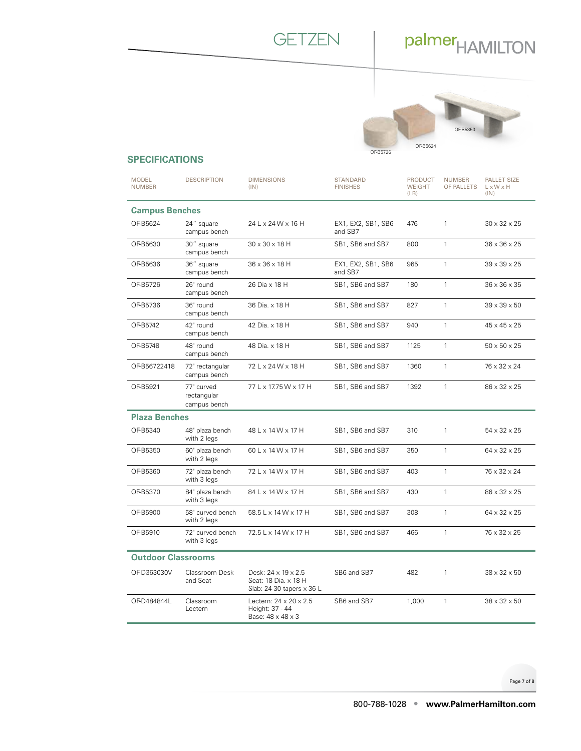![](_page_6_Picture_0.jpeg)

![](_page_6_Picture_2.jpeg)

### **SPECIFICATIONS**

| <b>MODEL</b><br><b>NUMBER</b> | <b>DESCRIPTION</b>                        | <b>DIMENSIONS</b><br>(IN)                                                  | <b>STANDARD</b><br><b>FINISHES</b> | <b>PRODUCT</b><br><b>WEIGHT</b><br>(LB) | <b>NUMBER</b><br>OF PALLETS | <b>PALLET SIZE</b><br>L x W x H<br>(IN) |
|-------------------------------|-------------------------------------------|----------------------------------------------------------------------------|------------------------------------|-----------------------------------------|-----------------------------|-----------------------------------------|
| <b>Campus Benches</b>         |                                           |                                                                            |                                    |                                         |                             |                                         |
| OF-B5624                      | 24" square<br>campus bench                | 24 L x 24 W x 16 H                                                         | EX1, EX2, SB1, SB6<br>and SB7      | 476                                     | $\mathbf{1}$                | $30 \times 32 \times 25$                |
| OF-B5630                      | 30" square<br>campus bench                | 30 x 30 x 18 H                                                             | SB1, SB6 and SB7                   | 800                                     | $\mathbf{1}$                | $36 \times 36 \times 25$                |
| OF-B5636                      | 36" square<br>campus bench                | 36 x 36 x 18 H                                                             | EX1, EX2, SB1, SB6<br>and SB7      | 965                                     | $\mathbf{1}$                | $39 \times 39 \times 25$                |
| OF-B5726                      | 26" round<br>campus bench                 | 26 Dia x 18 H                                                              | SB1, SB6 and SB7                   | 180                                     | $\mathbf{1}$                | 36 x 36 x 35                            |
| OF-B5736                      | 36" round<br>campus bench                 | 36 Dia. x 18 H                                                             | SB1, SB6 and SB7                   | 827                                     | $\mathbf{1}$                | $39 \times 39 \times 50$                |
| OF-B5742                      | 42" round<br>campus bench                 | 42 Dia. x 18 H                                                             | SB1, SB6 and SB7                   | 940                                     | $\mathbf{1}$                | 45 x 45 x 25                            |
| OF-B5748                      | 48" round<br>campus bench                 | 48 Dia. x 18 H                                                             | SB1, SB6 and SB7                   | 1125                                    | $\mathbf{1}$                | $50 \times 50 \times 25$                |
| OF-B56722418                  | 72" rectangular<br>campus bench           | 72 L x 24 W x 18 H                                                         | SB1, SB6 and SB7                   | 1360                                    | $\mathbf{1}$                | 76 x 32 x 24                            |
| OF-B5921                      | 77" curved<br>rectangular<br>campus bench | 77 L x 17.75 W x 17 H                                                      | SB1, SB6 and SB7                   | 1392                                    | $\mathbf{1}$                | 86 x 32 x 25                            |
| <b>Plaza Benches</b>          |                                           |                                                                            |                                    |                                         |                             |                                         |
| OF-B5340                      | 48" plaza bench<br>with 2 legs            | 48 L x 14 W x 17 H                                                         | SB1, SB6 and SB7                   | 310                                     | $\mathbf{1}$                | $54 \times 32 \times 25$                |
| OF-B5350                      | 60" plaza bench<br>with 2 legs            | 60 L x 14 W x 17 H                                                         | SB1, SB6 and SB7                   | 350                                     | $\mathbf{1}$                | 64 x 32 x 25                            |
| OF-B5360                      | 72" plaza bench<br>with 3 legs            | 72 L x 14 W x 17 H                                                         | SB1, SB6 and SB7                   | 403                                     | $\mathbf{1}$                | 76 x 32 x 24                            |
| OF-B5370                      | 84" plaza bench<br>with 3 legs            | 84 L x 14 W x 17 H                                                         | SB1, SB6 and SB7                   | 430                                     | $\mathbf{1}$                | 86 x 32 x 25                            |
| OF-B5900                      | 58" curved bench<br>with 2 legs           | 58.5 L x 14 W x 17 H                                                       | SB1, SB6 and SB7                   | 308                                     | $\mathbf{1}$                | 64 x 32 x 25                            |
| OF-B5910                      | 72" curved bench<br>with 3 legs           | 72.5 L x 14 W x 17 H                                                       | SB1, SB6 and SB7                   | 466                                     | $\mathbf{1}$                | 76 x 32 x 25                            |
| <b>Outdoor Classrooms</b>     |                                           |                                                                            |                                    |                                         |                             |                                         |
| OF-D363030V                   | Classroom Desk<br>and Seat                | Desk: 24 x 19 x 2.5<br>Seat: 18 Dia. x 18 H<br>Slab: 24-30 tapers x 36 L   | SB6 and SB7                        | 482                                     | $\mathbf{1}$                | $38 \times 32 \times 50$                |
| OF-D484844L                   | Classroom<br>Lectern                      | Lectern: $24 \times 20 \times 2.5$<br>Height: 37 - 44<br>Base: 48 x 48 x 3 | SB6 and SB7                        | 1,000                                   | $\mathbf{1}$                | $38 \times 32 \times 50$                |

Page 7 of 8